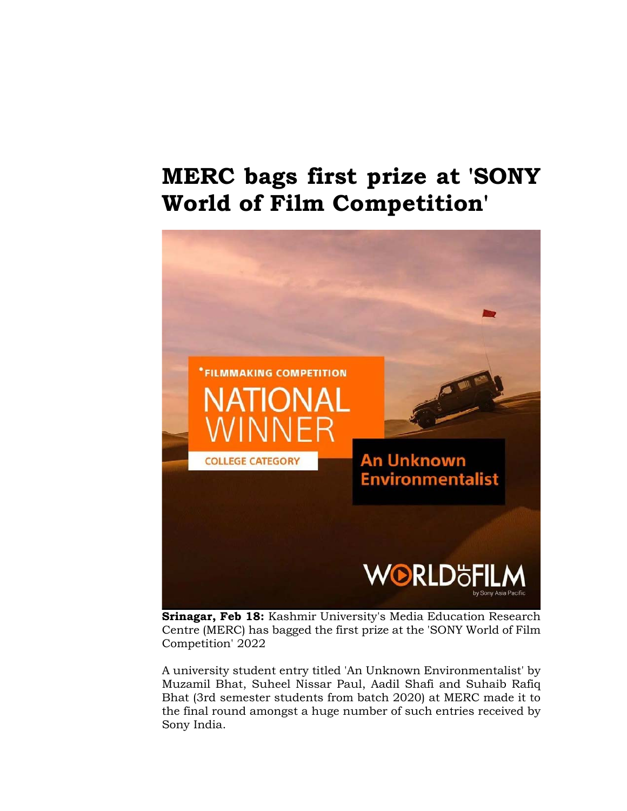## **MERC bags first prize at 'SONY World of Film Competition'**



**Srinagar, Feb 18:** Kashmir University's Media Education Research Centre (MERC) has bagged the first prize at the 'SONY World of Film Competition' 2022

A university student entry titled 'An Unknown Environmentalist' by Muzamil Bhat, Suheel Nissar Paul, Aadil Shafi and Suhaib Rafiq Bhat (3rd semester students from batch 2020) at MERC made it to the final round amongst a huge number of such entries received by Sony India.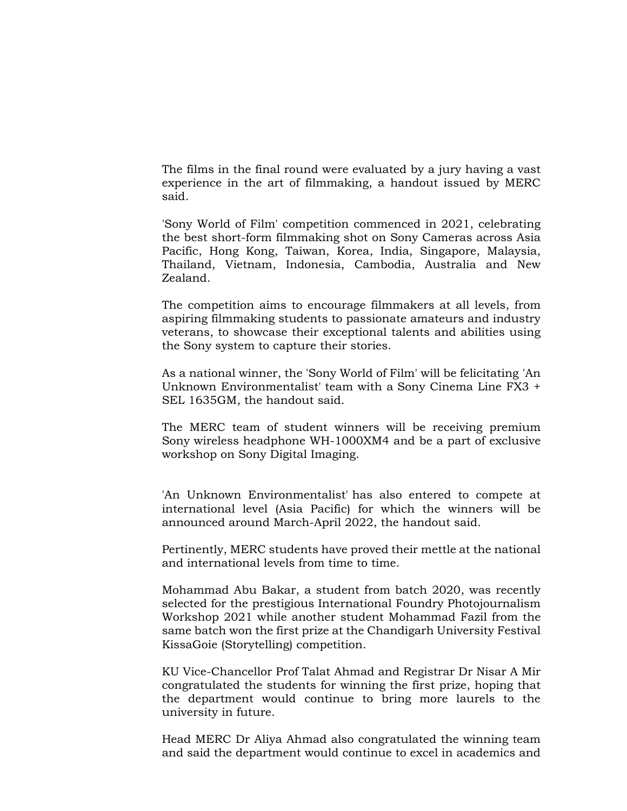The films in the final round were evaluated by a jury having a vast experience in the art of filmmaking, a handout issued by MERC said.

'Sony World of Film' competition commenced in 2021, celebrating the best short-form filmmaking shot on Sony Cameras across Asia Pacific, Hong Kong, Taiwan, Korea, India, Singapore, Malaysia, Thailand, Vietnam, Indonesia, Cambodia, Australia and New Zealand.

The competition aims to encourage filmmakers at all levels, from aspiring filmmaking students to passionate amateurs and industry veterans, to showcase their exceptional talents and abilities using the Sony system to capture their stories.

As a national winner, the 'Sony World of Film' will be felicitating 'An Unknown Environmentalist' team with a Sony Cinema Line FX3 + SEL 1635GM, the handout said.

The MERC team of student winners will be receiving premium Sony wireless headphone WH-1000XM4 and be a part of exclusive workshop on Sony Digital Imaging.

'An Unknown Environmentalist' has also entered to compete at international level (Asia Pacific) for which the winners will be announced around March-April 2022, the handout said.

Pertinently, MERC students have proved their mettle at the national and international levels from time to time.

Mohammad Abu Bakar, a student from batch 2020, was recently selected for the prestigious International Foundry Photojournalism Workshop 2021 while another student Mohammad Fazil from the same batch won the first prize at the Chandigarh University Festival KissaGoie (Storytelling) competition.

KU Vice-Chancellor Prof Talat Ahmad and Registrar Dr Nisar A Mir congratulated the students for winning the first prize, hoping that the department would continue to bring more laurels to the university in future.

Head MERC Dr Aliya Ahmad also congratulated the winning team and said the department would continue to excel in academics and